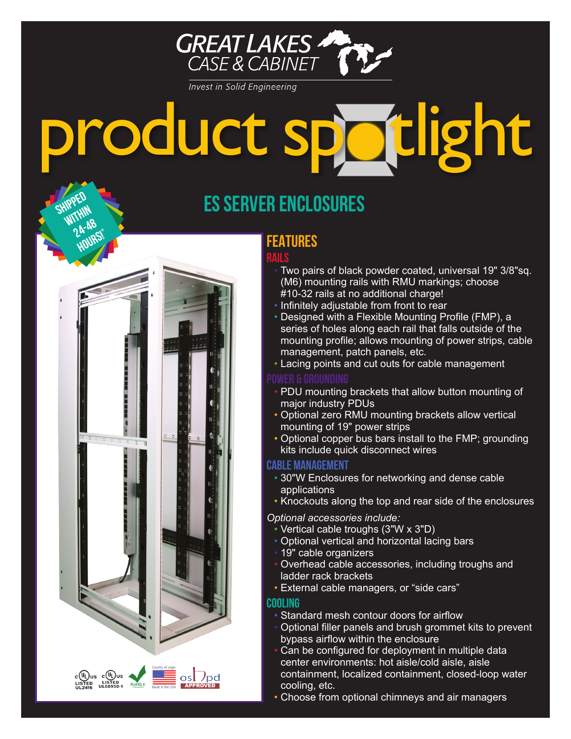

**Invest in Solid Engineering** 

# product spotlight

# **ES SERVER ENCLOSURES**

## **FEATURES**

## **Rails**

- Two pairs of black powder coated, universal 19" 3/8"sq. (M6) mounting rails with RMU markings; choose #10-32 rails at no additional charge!
- Infinitely adjustable from front to rear
- Designed with a Flexible Mounting Profile (FMP), a series of holes along each rail that falls outside of the mounting profile; allows mounting of power strips, cable management, patch panels, etc.
- Lacing points and cut outs for cable management

## **POWER & GROUNDING**

- PDU mounting brackets that allow button mounting of major industry PDUs
- Optional zero RMU mounting brackets allow vertical mounting of 19" power strips
- Optional copper bus bars install to the FMP; grounding kits include quick disconnect wires

## **CABLE MANAGEMENT**

- 30"W Enclosures for networking and dense cable applications
- Knockouts along the top and rear side of the enclosures

## *Optional accessories include:*

- Vertical cable troughs (3"W x 3"D)
- Optional vertical and horizontal lacing bars
- 19" cable organizers
- Overhead cable accessories, including troughs and ladder rack brackets
- External cable managers, or "side cars"

## **COOLING**

Made in the USA **APPROVED** 

Country of origin

 $c$ (U<sub>L</sub>) us  $c$ (U<sub>L</sub>) us<br>LISTED LISTED ROH

**SHIPPED** 

**24-48 hours!\***

- Standard mesh contour doors for airflow
- Optional filler panels and brush grommet kits to prevent bypass airflow within the enclosure
- Can be configured for deployment in multiple data center environments: hot aisle/cold aisle, aisle containment, localized containment, closed-loop water cooling, etc.
- Choose from optional chimneys and air managers